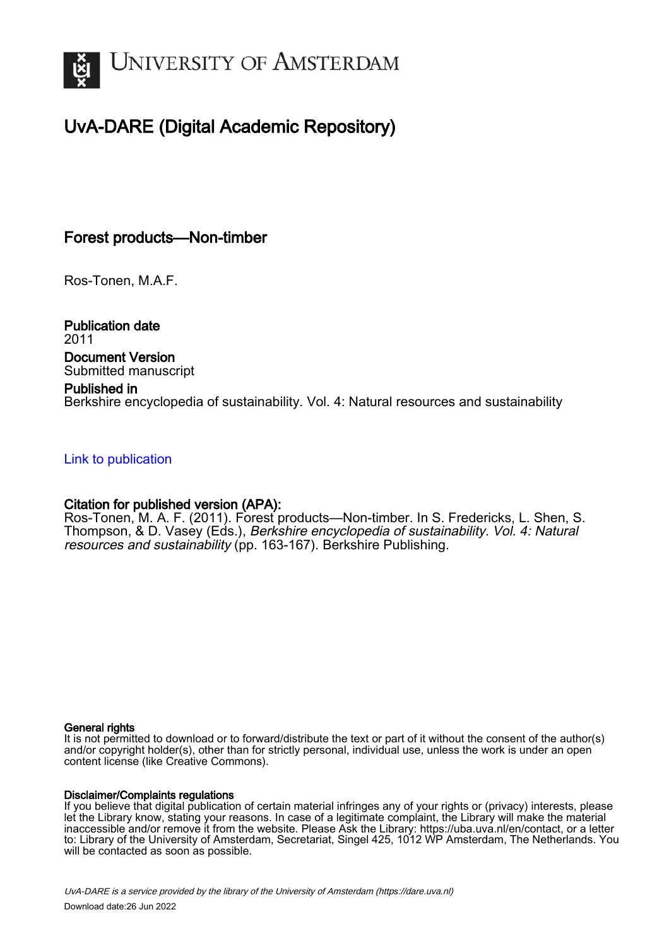

# UvA-DARE (Digital Academic Repository)

## Forest products—Non-timber

Ros-Tonen, M.A.F.

Publication date 2011 Document Version Submitted manuscript

### Published in

Berkshire encyclopedia of sustainability. Vol. 4: Natural resources and sustainability

### [Link to publication](https://dare.uva.nl/personal/pure/en/publications/forest-productsnontimber(a42426aa-5bad-402a-b04a-57868ac61a11).html)

### Citation for published version (APA):

Ros-Tonen, M. A. F. (2011). Forest products—Non-timber. In S. Fredericks, L. Shen, S. Thompson, & D. Vasey (Eds.), Berkshire encyclopedia of sustainability. Vol. 4: Natural resources and sustainability (pp. 163-167). Berkshire Publishing.

#### General rights

It is not permitted to download or to forward/distribute the text or part of it without the consent of the author(s) and/or copyright holder(s), other than for strictly personal, individual use, unless the work is under an open content license (like Creative Commons).

#### Disclaimer/Complaints regulations

If you believe that digital publication of certain material infringes any of your rights or (privacy) interests, please let the Library know, stating your reasons. In case of a legitimate complaint, the Library will make the material inaccessible and/or remove it from the website. Please Ask the Library: https://uba.uva.nl/en/contact, or a letter to: Library of the University of Amsterdam, Secretariat, Singel 425, 1012 WP Amsterdam, The Netherlands. You will be contacted as soon as possible.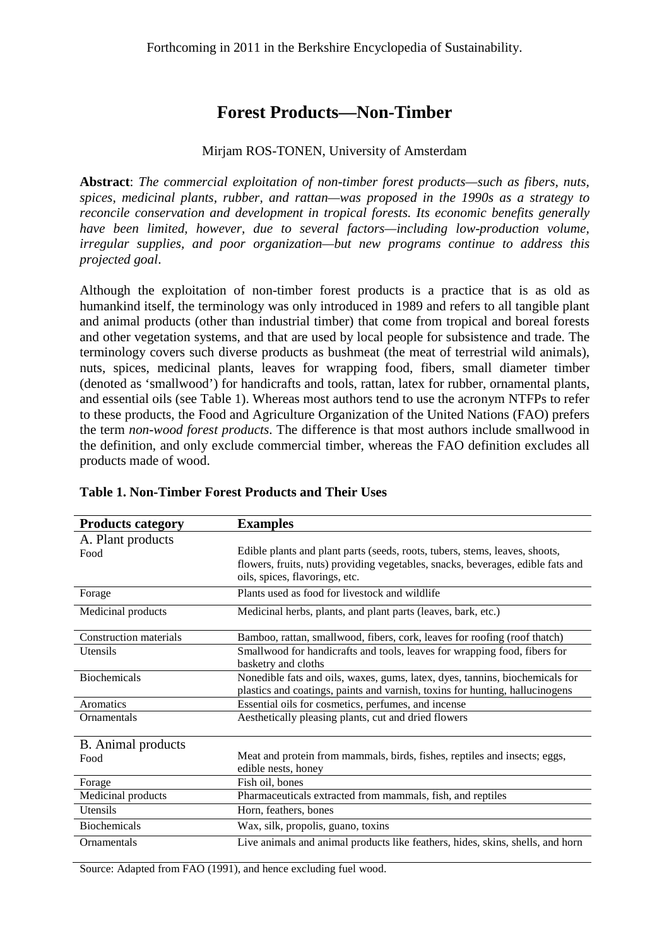# **Forest Products—Non-Timber**

### Mirjam ROS-TONEN, University of Amsterdam

**Abstract**: *The commercial exploitation of non-timber forest products—such as fibers, nuts, spices, medicinal plants, rubber, and rattan—was proposed in the 1990s as a strategy to reconcile conservation and development in tropical forests. Its economic benefits generally have been limited, however, due to several factors—including low-production volume, irregular supplies, and poor organization—but new programs continue to address this projected goal*.

Although the exploitation of non-timber forest products is a practice that is as old as humankind itself, the terminology was only introduced in 1989 and refers to all tangible plant and animal products (other than industrial timber) that come from tropical and boreal forests and other vegetation systems, and that are used by local people for subsistence and trade. The terminology covers such diverse products as bushmeat (the meat of terrestrial wild animals), nuts, spices, medicinal plants, leaves for wrapping food, fibers, small diameter timber (denoted as 'smallwood') for handicrafts and tools, rattan, latex for rubber, ornamental plants, and essential oils (see Table 1). Whereas most authors tend to use the acronym NTFPs to refer to these products, the Food and Agriculture Organization of the United Nations (FAO) prefers the term *non-wood forest products*. The difference is that most authors include smallwood in the definition, and only exclude commercial timber, whereas the FAO definition excludes all products made of wood.

| <b>Products category</b>      | <b>Examples</b>                                                                 |  |
|-------------------------------|---------------------------------------------------------------------------------|--|
| A. Plant products             |                                                                                 |  |
| Food                          | Edible plants and plant parts (seeds, roots, tubers, stems, leaves, shoots,     |  |
|                               | flowers, fruits, nuts) providing vegetables, snacks, beverages, edible fats and |  |
|                               | oils, spices, flavorings, etc.                                                  |  |
| Forage                        | Plants used as food for livestock and wildlife                                  |  |
| Medicinal products            | Medicinal herbs, plants, and plant parts (leaves, bark, etc.)                   |  |
| <b>Construction materials</b> | Bamboo, rattan, smallwood, fibers, cork, leaves for roofing (roof thatch)       |  |
| Utensils                      | Smallwood for handicrafts and tools, leaves for wrapping food, fibers for       |  |
|                               | basketry and cloths                                                             |  |
| <b>Biochemicals</b>           | Nonedible fats and oils, waxes, gums, latex, dyes, tannins, biochemicals for    |  |
|                               | plastics and coatings, paints and varnish, toxins for hunting, hallucinogens    |  |
| Aromatics                     | Essential oils for cosmetics, perfumes, and incense                             |  |
| Ornamentals                   | Aesthetically pleasing plants, cut and dried flowers                            |  |
| B. Animal products            |                                                                                 |  |
| Food                          | Meat and protein from mammals, birds, fishes, reptiles and insects; eggs,       |  |
|                               | edible nests, honey                                                             |  |
| Forage                        | Fish oil, bones                                                                 |  |
| Medicinal products            | Pharmaceuticals extracted from mammals, fish, and reptiles                      |  |
| Utensils                      | Horn, feathers, bones                                                           |  |
| <b>Biochemicals</b>           | Wax, silk, propolis, guano, toxins                                              |  |
| Ornamentals                   | Live animals and animal products like feathers, hides, skins, shells, and horn  |  |

### **Table 1. Non-Timber Forest Products and Their Uses**

Source: Adapted from FAO (1991), and hence excluding fuel wood.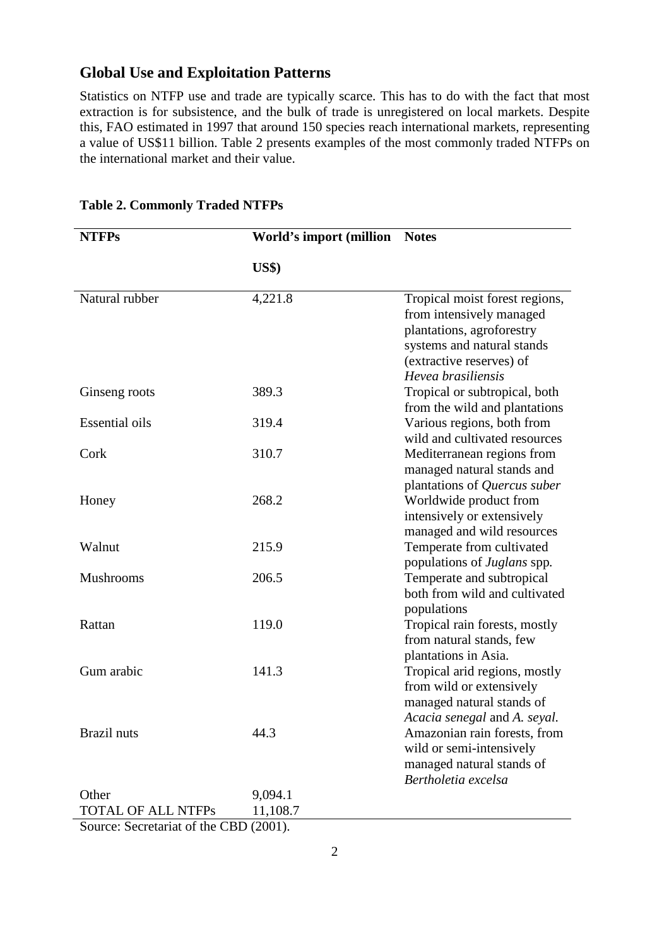## **Global Use and Exploitation Patterns**

Statistics on NTFP use and trade are typically scarce. This has to do with the fact that most extraction is for subsistence, and the bulk of trade is unregistered on local markets. Despite this, FAO estimated in 1997 that around 150 species reach international markets, representing a value of US\$11 billion. Table 2 presents examples of the most commonly traded NTFPs on the international market and their value.

| <b>NTFPs</b>          | World's import (million           | <b>Notes</b>                                                                                                                                                            |
|-----------------------|-----------------------------------|-------------------------------------------------------------------------------------------------------------------------------------------------------------------------|
|                       | $\mathbf{U}\mathbf{S}\mathbf{\$}$ |                                                                                                                                                                         |
| Natural rubber        | 4,221.8                           | Tropical moist forest regions,<br>from intensively managed<br>plantations, agroforestry<br>systems and natural stands<br>(extractive reserves) of<br>Hevea brasiliensis |
| Ginseng roots         | 389.3                             | Tropical or subtropical, both<br>from the wild and plantations                                                                                                          |
| <b>Essential oils</b> | 319.4                             | Various regions, both from<br>wild and cultivated resources                                                                                                             |
| Cork                  | 310.7                             | Mediterranean regions from<br>managed natural stands and<br>plantations of Quercus suber                                                                                |
| Honey                 | 268.2                             | Worldwide product from<br>intensively or extensively<br>managed and wild resources                                                                                      |
| Walnut                | 215.9                             | Temperate from cultivated<br>populations of Juglans spp.                                                                                                                |
| <b>Mushrooms</b>      | 206.5                             | Temperate and subtropical<br>both from wild and cultivated<br>populations                                                                                               |
| Rattan                | 119.0                             | Tropical rain forests, mostly<br>from natural stands, few<br>plantations in Asia.                                                                                       |
| Gum arabic            | 141.3                             | Tropical arid regions, mostly<br>from wild or extensively<br>managed natural stands of<br>Acacia senegal and A. seyal.                                                  |
| Brazil nuts           | 44.3                              | Amazonian rain forests, from<br>wild or semi-intensively<br>managed natural stands of<br>Bertholetia excelsa                                                            |
| Other                 | 9,094.1                           |                                                                                                                                                                         |
| TOTAL OF ALL NTFPs    | 11,108.7                          |                                                                                                                                                                         |

**Table 2. Commonly Traded NTFPs** 

Source: Secretariat of the CBD (2001).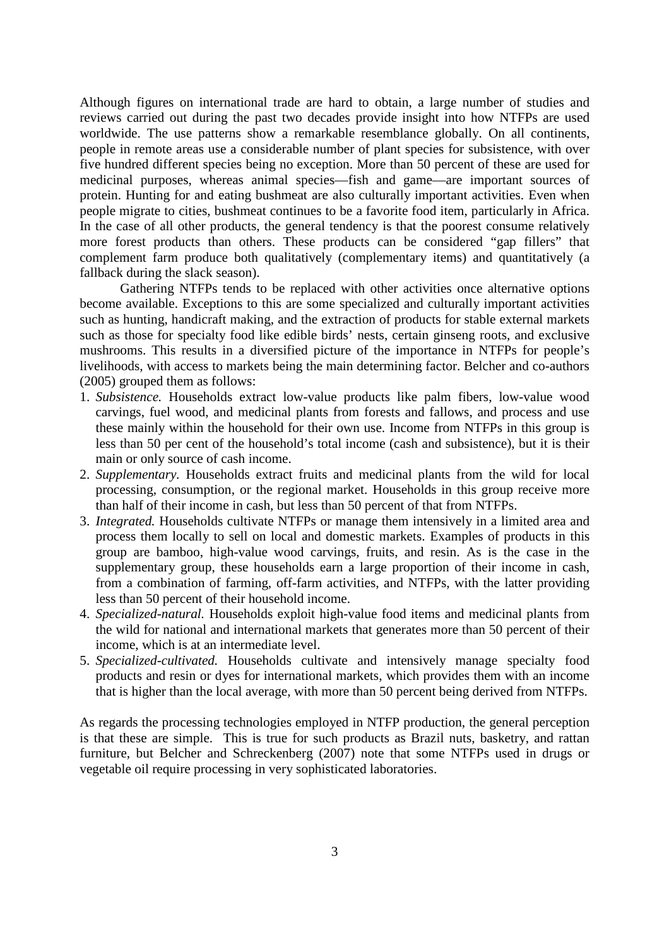Although figures on international trade are hard to obtain, a large number of studies and reviews carried out during the past two decades provide insight into how NTFPs are used worldwide. The use patterns show a remarkable resemblance globally. On all continents, people in remote areas use a considerable number of plant species for subsistence, with over five hundred different species being no exception. More than 50 percent of these are used for medicinal purposes, whereas animal species—fish and game—are important sources of protein. Hunting for and eating bushmeat are also culturally important activities. Even when people migrate to cities, bushmeat continues to be a favorite food item, particularly in Africa. In the case of all other products, the general tendency is that the poorest consume relatively more forest products than others. These products can be considered "gap fillers" that complement farm produce both qualitatively (complementary items) and quantitatively (a fallback during the slack season).

Gathering NTFPs tends to be replaced with other activities once alternative options become available. Exceptions to this are some specialized and culturally important activities such as hunting, handicraft making, and the extraction of products for stable external markets such as those for specialty food like edible birds' nests, certain ginseng roots, and exclusive mushrooms. This results in a diversified picture of the importance in NTFPs for people's livelihoods, with access to markets being the main determining factor. Belcher and co-authors (2005) grouped them as follows:

- 1. *Subsistence.* Households extract low-value products like palm fibers, low-value wood carvings, fuel wood, and medicinal plants from forests and fallows, and process and use these mainly within the household for their own use. Income from NTFPs in this group is less than 50 per cent of the household's total income (cash and subsistence), but it is their main or only source of cash income.
- 2. *Supplementary.* Households extract fruits and medicinal plants from the wild for local processing, consumption, or the regional market. Households in this group receive more than half of their income in cash, but less than 50 percent of that from NTFPs.
- 3. *Integrated.* Households cultivate NTFPs or manage them intensively in a limited area and process them locally to sell on local and domestic markets. Examples of products in this group are bamboo, high-value wood carvings, fruits, and resin. As is the case in the supplementary group, these households earn a large proportion of their income in cash, from a combination of farming, off-farm activities, and NTFPs, with the latter providing less than 50 percent of their household income.
- 4. *Specialized-natural.* Households exploit high-value food items and medicinal plants from the wild for national and international markets that generates more than 50 percent of their income, which is at an intermediate level.
- 5. *Specialized-cultivated.* Households cultivate and intensively manage specialty food products and resin or dyes for international markets, which provides them with an income that is higher than the local average, with more than 50 percent being derived from NTFPs.

As regards the processing technologies employed in NTFP production, the general perception is that these are simple. This is true for such products as Brazil nuts, basketry, and rattan furniture, but Belcher and Schreckenberg (2007) note that some NTFPs used in drugs or vegetable oil require processing in very sophisticated laboratories.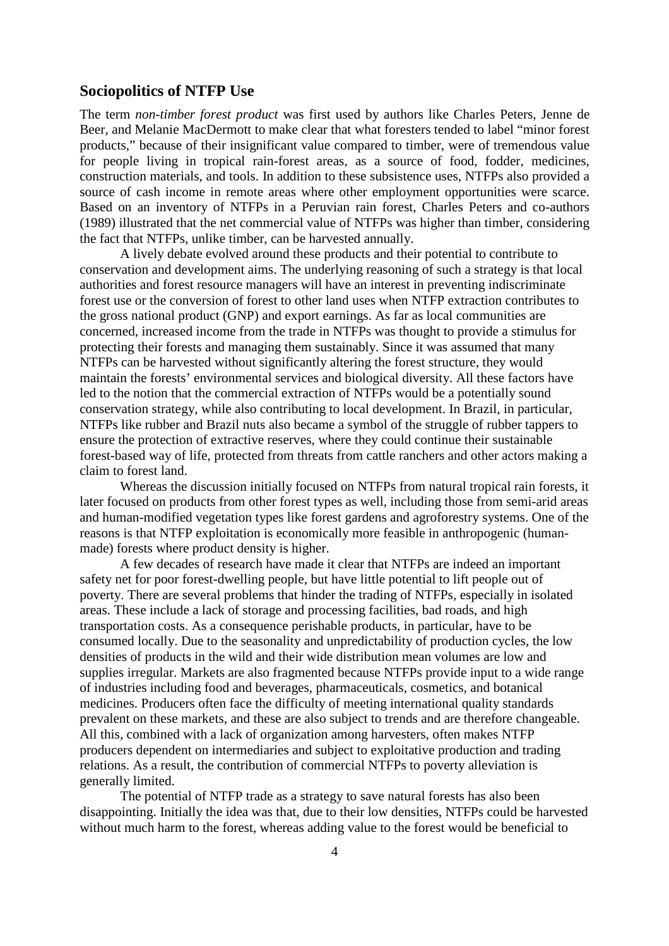### **Sociopolitics of NTFP Use**

The term *non-timber forest product* was first used by authors like Charles Peters, Jenne de Beer, and Melanie MacDermott to make clear that what foresters tended to label "minor forest products," because of their insignificant value compared to timber, were of tremendous value for people living in tropical rain-forest areas, as a source of food, fodder, medicines, construction materials, and tools. In addition to these subsistence uses, NTFPs also provided a source of cash income in remote areas where other employment opportunities were scarce. Based on an inventory of NTFPs in a Peruvian rain forest, Charles Peters and co-authors (1989) illustrated that the net commercial value of NTFPs was higher than timber, considering the fact that NTFPs, unlike timber, can be harvested annually.

A lively debate evolved around these products and their potential to contribute to conservation and development aims. The underlying reasoning of such a strategy is that local authorities and forest resource managers will have an interest in preventing indiscriminate forest use or the conversion of forest to other land uses when NTFP extraction contributes to the gross national product (GNP) and export earnings. As far as local communities are concerned, increased income from the trade in NTFPs was thought to provide a stimulus for protecting their forests and managing them sustainably. Since it was assumed that many NTFPs can be harvested without significantly altering the forest structure, they would maintain the forests' environmental services and biological diversity. All these factors have led to the notion that the commercial extraction of NTFPs would be a potentially sound conservation strategy, while also contributing to local development. In Brazil, in particular, NTFPs like rubber and Brazil nuts also became a symbol of the struggle of rubber tappers to ensure the protection of extractive reserves, where they could continue their sustainable forest-based way of life, protected from threats from cattle ranchers and other actors making a claim to forest land.

Whereas the discussion initially focused on NTFPs from natural tropical rain forests, it later focused on products from other forest types as well, including those from semi-arid areas and human-modified vegetation types like forest gardens and agroforestry systems. One of the reasons is that NTFP exploitation is economically more feasible in anthropogenic (humanmade) forests where product density is higher.

A few decades of research have made it clear that NTFPs are indeed an important safety net for poor forest-dwelling people, but have little potential to lift people out of poverty. There are several problems that hinder the trading of NTFPs, especially in isolated areas. These include a lack of storage and processing facilities, bad roads, and high transportation costs. As a consequence perishable products, in particular, have to be consumed locally. Due to the seasonality and unpredictability of production cycles, the low densities of products in the wild and their wide distribution mean volumes are low and supplies irregular. Markets are also fragmented because NTFPs provide input to a wide range of industries including food and beverages, pharmaceuticals, cosmetics, and botanical medicines. Producers often face the difficulty of meeting international quality standards prevalent on these markets, and these are also subject to trends and are therefore changeable. All this, combined with a lack of organization among harvesters, often makes NTFP producers dependent on intermediaries and subject to exploitative production and trading relations. As a result, the contribution of commercial NTFPs to poverty alleviation is generally limited.

The potential of NTFP trade as a strategy to save natural forests has also been disappointing. Initially the idea was that, due to their low densities, NTFPs could be harvested without much harm to the forest, whereas adding value to the forest would be beneficial to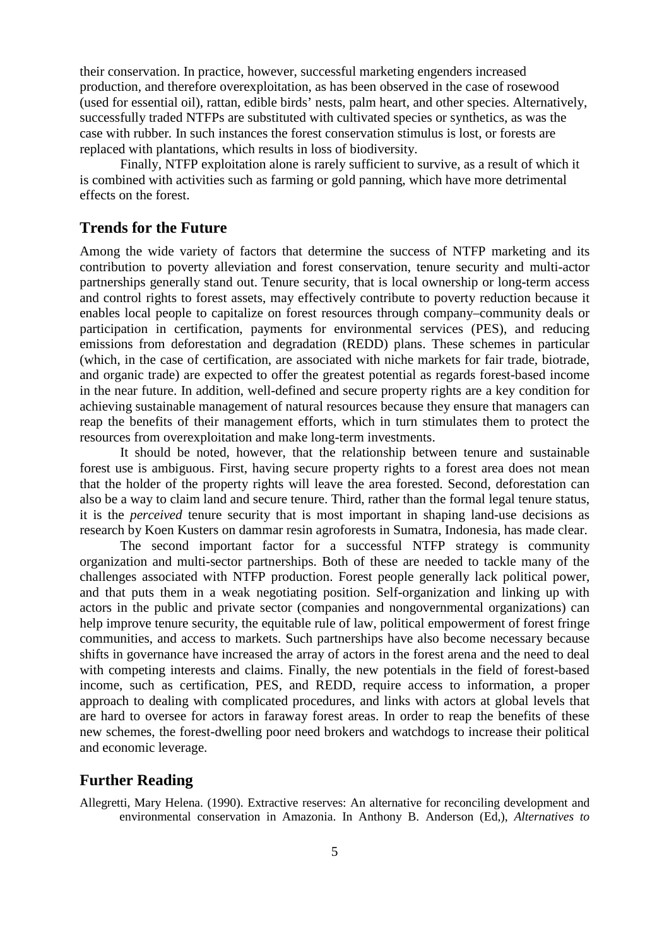their conservation. In practice, however, successful marketing engenders increased production, and therefore overexploitation, as has been observed in the case of rosewood (used for essential oil), rattan, edible birds' nests, palm heart, and other species. Alternatively, successfully traded NTFPs are substituted with cultivated species or synthetics, as was the case with rubber*.* In such instances the forest conservation stimulus is lost, or forests are replaced with plantations, which results in loss of biodiversity.

Finally, NTFP exploitation alone is rarely sufficient to survive, as a result of which it is combined with activities such as farming or gold panning, which have more detrimental effects on the forest.

### **Trends for the Future**

Among the wide variety of factors that determine the success of NTFP marketing and its contribution to poverty alleviation and forest conservation, tenure security and multi-actor partnerships generally stand out. Tenure security, that is local ownership or long-term access and control rights to forest assets, may effectively contribute to poverty reduction because it enables local people to capitalize on forest resources through company–community deals or participation in certification, payments for environmental services (PES), and reducing emissions from deforestation and degradation (REDD) plans. These schemes in particular (which, in the case of certification, are associated with niche markets for fair trade, biotrade, and organic trade) are expected to offer the greatest potential as regards forest-based income in the near future. In addition, well-defined and secure property rights are a key condition for achieving sustainable management of natural resources because they ensure that managers can reap the benefits of their management efforts, which in turn stimulates them to protect the resources from overexploitation and make long-term investments.

It should be noted, however, that the relationship between tenure and sustainable forest use is ambiguous. First, having secure property rights to a forest area does not mean that the holder of the property rights will leave the area forested. Second, deforestation can also be a way to claim land and secure tenure. Third, rather than the formal legal tenure status, it is the *perceived* tenure security that is most important in shaping land-use decisions as research by Koen Kusters on dammar resin agroforests in Sumatra, Indonesia, has made clear.

The second important factor for a successful NTFP strategy is community organization and multi-sector partnerships. Both of these are needed to tackle many of the challenges associated with NTFP production. Forest people generally lack political power, and that puts them in a weak negotiating position. Self-organization and linking up with actors in the public and private sector (companies and nongovernmental organizations) can help improve tenure security, the equitable rule of law, political empowerment of forest fringe communities, and access to markets. Such partnerships have also become necessary because shifts in governance have increased the array of actors in the forest arena and the need to deal with competing interests and claims. Finally, the new potentials in the field of forest-based income, such as certification, PES, and REDD, require access to information, a proper approach to dealing with complicated procedures, and links with actors at global levels that are hard to oversee for actors in faraway forest areas. In order to reap the benefits of these new schemes, the forest-dwelling poor need brokers and watchdogs to increase their political and economic leverage.

### **Further Reading**

Allegretti, Mary Helena. (1990). Extractive reserves: An alternative for reconciling development and environmental conservation in Amazonia. In Anthony B. Anderson (Ed,), *Alternatives to*